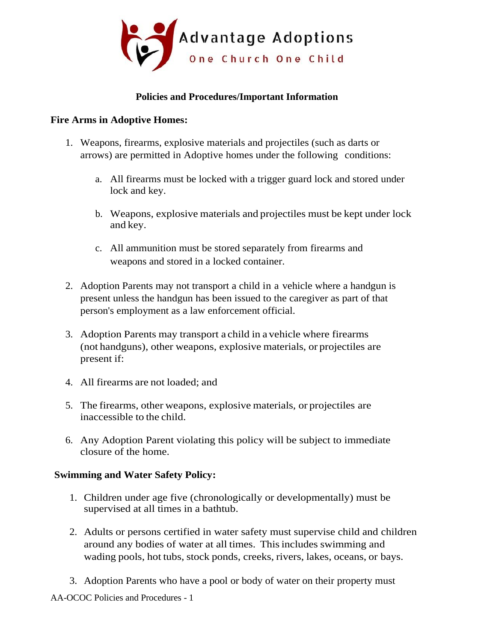

# **Policies and Procedures/Important Information**

### **Fire Arms in Adoptive Homes:**

- 1. Weapons, firearms, explosive materials and projectiles (such as darts or arrows) are permitted in Adoptive homes under the following conditions:
	- a. All firearms must be locked with a trigger guard lock and stored under lock and key.
	- b. Weapons, explosive materials and projectiles must be kept under lock and key.
	- c. All ammunition must be stored separately from firearms and weapons and stored in a locked container.
- 2. Adoption Parents may not transport a child in a vehicle where a handgun is present unless the handgun has been issued to the caregiver as part of that person's employment as a law enforcement official.
- 3. Adoption Parents may transport a child in a vehicle where firearms (not handguns), other weapons, explosive materials, or projectiles are present if:
- 4. All firearms are not loaded; and
- 5. The firearms, other weapons, explosive materials, or projectiles are inaccessible to the child.
- 6. Any Adoption Parent violating this policy will be subject to immediate closure of the home.

### **Swimming and Water Safety Policy:**

- 1. Children under age five (chronologically or developmentally) must be supervised at all times in a bathtub.
- 2. Adults or persons certified in water safety must supervise child and children around any bodies of water at all times. Thisincludes swimming and wading pools, hot tubs, stock ponds, creeks, rivers, lakes, oceans, or bays.
- 3. Adoption Parents who have a pool or body of water on their property must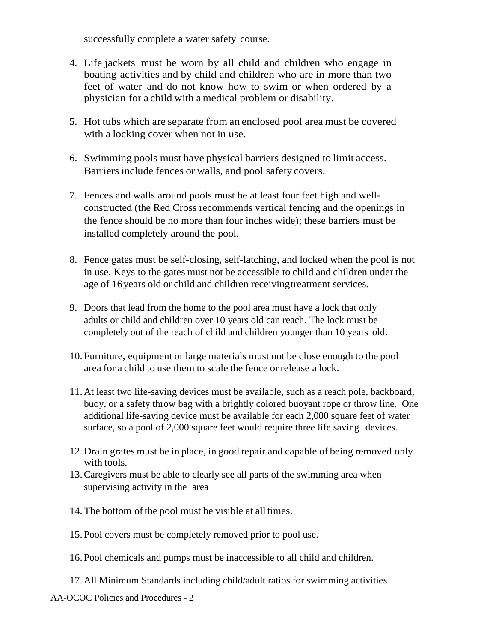successfully complete a water safety course.

- 4. Life jackets must be worn by all child and children who engage in boating activities and by child and children who are in more than two feet of water and do not know how to swim or when ordered by a physician for a child with a medical problem or disability.
- 5. Hot tubs which are separate from an enclosed pool area must be covered with a locking cover when not in use.
- 6. Swimming pools must have physical barriers designed to limit access. Barriers include fences or walls, and pool safety covers.
- 7. Fences and walls around pools must be at least four feet high and wellconstructed (the Red Cross recommends vertical fencing and the openings in the fence should be no more than four inches wide); these barriers must be installed completely around the pool.
- 8. Fence gates must be self-closing, self-latching, and locked when the pool is not in use. Keys to the gates must not be accessible to child and children under the age of 16years old or child and children receivingtreatment services.
- 9. Doors that lead from the home to the pool area must have a lock that only adults or child and children over 10 years old can reach. The lock must be completely out of the reach of child and children younger than 10 years old.
- 10. Furniture, equipment or large materials must not be close enough to the pool area for a child to use them to scale the fence or release a lock.
- 11.At least two life-saving devices must be available, such as a reach pole, backboard, buoy, or a safety throw bag with a brightly colored buoyant rope or throw line. One additional life-saving device must be available for each 2,000 square feet of water surface, so a pool of 2,000 square feet would require three life saving devices.
- 12.Drain grates must be in place, in good repair and capable of being removed only with tools.
- 13.Caregivers must be able to clearly see all parts of the swimming area when supervising activity in the area
- 14. The bottom of the pool must be visible at all times.
- 15. Pool covers must be completely removed prior to pool use.
- 16. Pool chemicals and pumps must be inaccessible to all child and children.
- 17.All Minimum Standards including child/adult ratios for swimming activities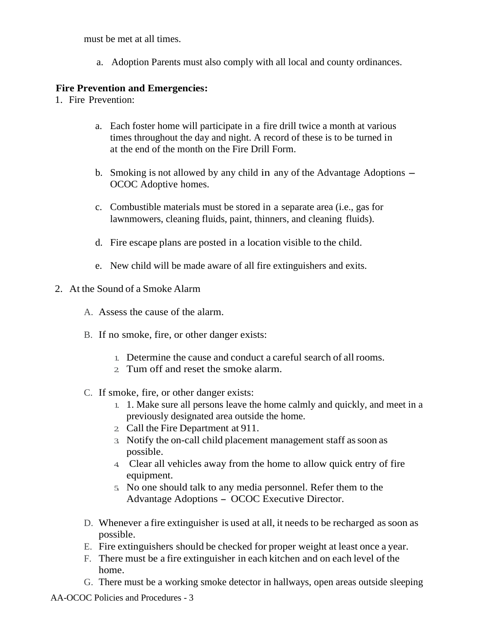must be met at all times.

a. Adoption Parents must also comply with all local and county ordinances.

## **Fire Prevention and Emergencies:**

- 1. Fire Prevention:
	- a. Each foster home will participate in a fire drill twice a month at various times throughout the day and night. A record of these is to be turned in at the end of the month on the Fire Drill Form.
	- b. Smoking is not allowed by any child in any of the Advantage Adoptions OCOC Adoptive homes.
	- c. Combustible materials must be stored in a separate area (i.e., gas for lawnmowers, cleaning fluids, paint, thinners, and cleaning fluids).
	- d. Fire escape plans are posted in a location visible to the child.
	- e. New child will be made aware of all fire extinguishers and exits.
- 2. At the Sound of a Smoke Alarm
	- A. Assess the cause of the alarm.
	- B. If no smoke, fire, or other danger exists:
		- 1. Determine the cause and conduct a careful search of all rooms.
		- 2. Tum off and reset the smoke alarm.
	- C. If smoke, fire, or other danger exists:
		- 1. 1. Make sure all persons leave the home calmly and quickly, and meet in a previously designated area outside the home.
		- 2. Call the Fire Department at 911.
		- 3. Notify the on-call child placement management staff assoon as possible.
		- 4. Clear all vehicles away from the home to allow quick entry of fire equipment.
		- 5. No one should talk to any media personnel. Refer them to the Advantage Adoptions - OCOC Executive Director.
	- D. Whenever a fire extinguisher is used at all, it needs to be recharged assoon as possible.
	- E. Fire extinguishers should be checked for proper weight at least once a year.
	- F. There must be a fire extinguisher in each kitchen and on each level of the home.
	- G. There must be a working smoke detector in hallways, open areas outside sleeping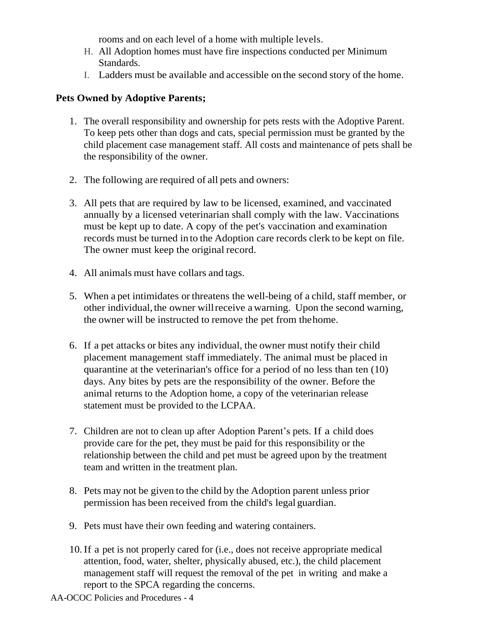rooms and on each level of a home with multiple levels.

- H. All Adoption homes must have fire inspections conducted per Minimum Standards.
- I. Ladders must be available and accessible on the second story of the home.

### **Pets Owned by Adoptive Parents;**

- 1. The overall responsibility and ownership for pets rests with the Adoptive Parent. To keep pets other than dogs and cats, special permission must be granted by the child placement case management staff. All costs and maintenance of pets shall be the responsibility of the owner.
- 2. The following are required of all pets and owners:
- 3. All pets that are required by law to be licensed, examined, and vaccinated annually by a licensed veterinarian shall comply with the law. Vaccinations must be kept up to date. A copy of the pet's vaccination and examination records must be turned in to the Adoption care records clerk to be kept on file. The owner must keep the original record.
- 4. All animals must have collars and tags.
- 5. When a pet intimidates or threatens the well-being of a child, staff member, or other individual, the owner will receive a warning. Upon the second warning, the owner will be instructed to remove the pet from thehome.
- 6. If a pet attacks or bites any individual, the owner must notify their child placement management staff immediately. The animal must be placed in quarantine at the veterinarian's office for a period of no less than ten (10) days. Any bites by pets are the responsibility of the owner. Before the animal returns to the Adoption home, a copy of the veterinarian release statement must be provided to the LCPAA.
- 7. Children are not to clean up after Adoption Parent's pets. If a child does provide care for the pet, they must be paid for this responsibility or the relationship between the child and pet must be agreed upon by the treatment team and written in the treatment plan.
- 8. Pets may not be given to the child by the Adoption parent unless prior permission has been received from the child's legal guardian.
- 9. Pets must have their own feeding and watering containers.
- 10.If a pet is not properly cared for (i.e., does not receive appropriate medical attention, food, water, shelter, physically abused, etc.), the child placement management staff will request the removal of the pet in writing and make a report to the SPCA regarding the concerns.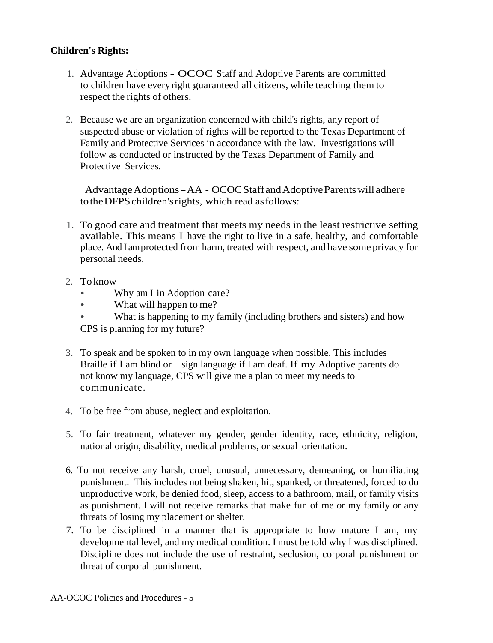## **Children's Rights:**

- 1. Advantage Adoptions OCOC Staff and Adoptive Parents are committed to children have every right guaranteed all citizens, while teaching them to respect the rights of others.
- 2. Because we are an organization concerned with child's rights, any report of suspected abuse or violation of rights will be reported to the Texas Department of Family and Protective Services in accordance with the law. Investigations will follow as conducted or instructed by the Texas Department of Family and Protective Services.

Advantage Adoptions - AA - OCOC Staff and Adoptive Parents will adhere totheDFPSchildren'srights, which read asfollows:

- 1. To good care and treatment that meets my needs in the least restrictive setting available. This means I have the right to live in a safe, healthy, and comfortable place. And I amprotected from harm, treated with respect, and have some privacy for personal needs.
- 2. To know
	- Why am I in Adoption care?
	- What will happen to me?
	- What is happening to my family (including brothers and sisters) and how CPS is planning for my future?
- 3. To speak and be spoken to in my own language when possible. This includes Braille if l am blind or sign language if I am deaf. If my Adoptive parents do not know my language, CPS will give me a plan to meet my needs to communicate.
- 4. To be free from abuse, neglect and exploitation.
- 5. To fair treatment, whatever my gender, gender identity, race, ethnicity, religion, national origin, disability, medical problems, or sexual orientation.
- 6*.* To not receive any harsh, cruel, unusual, unnecessary, demeaning, or humiliating punishment. This includes not being shaken, hit, spanked, or threatened, forced to do unproductive work, be denied food, sleep, access to a bathroom, mail, or family visits as punishment. I will not receive remarks that make fun of me or my family or any threats of losing my placement or shelter.
- 7. To be disciplined in a manner that is appropriate to how mature I am, my developmental level, and my medical condition. I must be told why I was disciplined. Discipline does not include the use of restraint, seclusion, corporal punishment or threat of corporal punishment.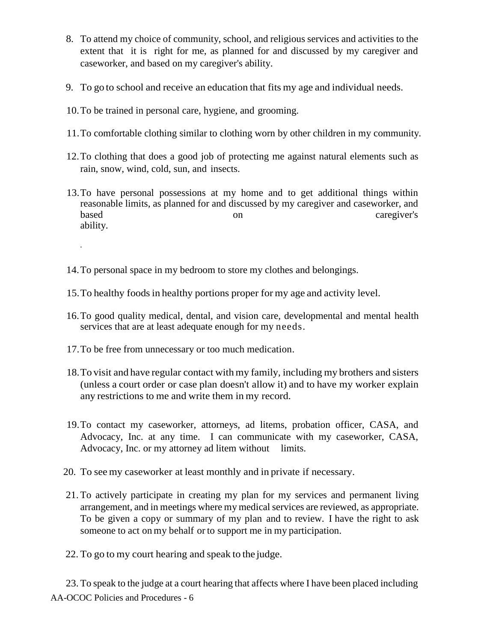- 8. To attend my choice of community, school, and religious services and activities to the extent that it is right for me, as planned for and discussed by my caregiver and caseworker, and based on my caregiver's ability.
- 9. To go to school and receive an education that fits my age and individual needs.
- 10.To be trained in personal care, hygiene, and grooming.
- 11.To comfortable clothing similar to clothing worn by other children in my community.
- 12.To clothing that does a good job of protecting me against natural elements such as rain, snow, wind, cold, sun, and insects.
- 13.To have personal possessions at my home and to get additional things within reasonable limits, as planned for and discussed by my caregiver and caseworker, and based on on caregiver's caregiver's ability.
- 14.To personal space in my bedroom to store my clothes and belongings.
- 15.To healthy foodsin healthy portions proper for my age and activity level.
- 16.To good quality medical, dental, and vision care, developmental and mental health services that are at least adequate enough for my needs.
- 17.To be free from unnecessary or too much medication.

·

- 18.To visit and have regular contact with my family, including my brothers and sisters (unless a court order or case plan doesn't allow it) and to have my worker explain any restrictions to me and write them in my record.
- 19.To contact my caseworker, attorneys, ad litems, probation officer, CASA, and Advocacy, Inc. at any time. I can communicate with my caseworker, CASA, Advocacy, Inc. or my attorney ad litem without limits.
- 20. To see my caseworker at least monthly and in private if necessary.
- 21. To actively participate in creating my plan for my services and permanent living arrangement, and in meetings where my medical services are reviewed, as appropriate. To be given a copy or summary of my plan and to review. I have the right to ask someone to act on my behalf or to support me in my participation.
- 22. To go to my court hearing and speak to the judge.

AA-OCOC Policies and Procedures - 6 23. To speak to the judge at a court hearing that affects where I have been placed including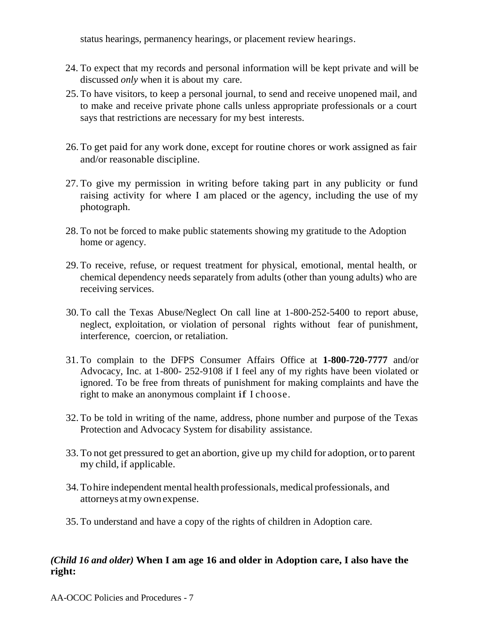status hearings, permanency hearings, or placement review hearings.

- 24. To expect that my records and personal information will be kept private and will be discussed *only* when it is about my care.
- 25. To have visitors, to keep a personal journal, to send and receive unopened mail, and to make and receive private phone calls unless appropriate professionals or a court says that restrictions are necessary for my best interests.
- 26. To get paid for any work done, except for routine chores or work assigned as fair and/or reasonable discipline.
- 27. To give my permission in writing before taking part in any publicity or fund raising activity for where I am placed or the agency, including the use of my photograph.
- 28. To not be forced to make public statements showing my gratitude to the Adoption home or agency.
- 29. To receive, refuse, or request treatment for physical, emotional, mental health, or chemical dependency needs separately from adults (other than young adults) who are receiving services.
- 30.To call the Texas Abuse/Neglect On call line at 1-800-252-5400 to report abuse, neglect, exploitation, or violation of personal rights without fear of punishment, interference, coercion, or retaliation.
- 31. To complain to the DFPS Consumer Affairs Office at **1-800-720-7777** and/or Advocacy, Inc. at 1-800- 252-9108 if I feel any of my rights have been violated or ignored. To be free from threats of punishment for making complaints and have the right to make an anonymous complaint if I choose.
- 32. To be told in writing of the name, address, phone number and purpose of the Texas Protection and Advocacy System for disability assistance.
- 33. To not get pressured to get an abortion, give up my child for adoption, orto parent my child, if applicable.
- 34.Tohire independent mental health professionals, medical professionals, and attorneys atmy ownexpense.
- 35. To understand and have a copy of the rights of children in Adoption care.

# *(Child 16 and older)* **When I am age 16 and older in Adoption care, I also have the right:**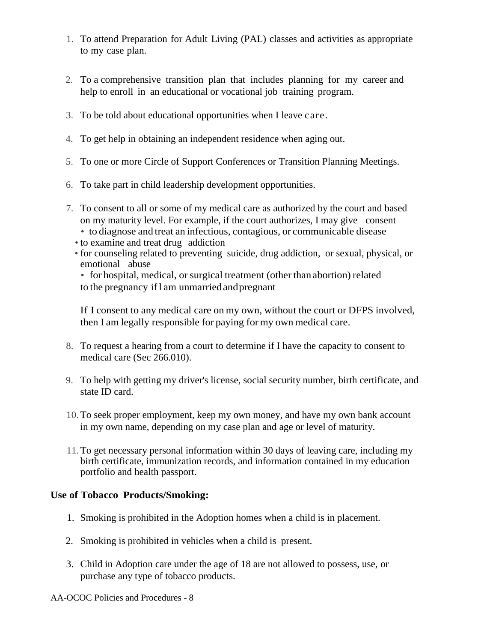- 1. To attend Preparation for Adult Living (PAL) classes and activities as appropriate to my case plan.
- 2. To a comprehensive transition plan that includes planning for my career and help to enroll in an educational or vocational job training program.
- 3. To be told about educational opportunities when I leave care.
- 4. To get help in obtaining an independent residence when aging out.
- 5. To one or more Circle of Support Conferences or Transition Planning Meetings.
- 6. To take part in child leadership development opportunities.
- 7. To consent to all or some of my medical care as authorized by the court and based on my maturity level. For example, if the court authorizes, I may give consent
	- to diagnose and treat an infectious, contagious, or communicable disease
	- to examine and treat drug addiction
	- for counseling related to preventing suicide, drug addiction, or sexual, physical, or emotional abuse

• for hospital, medical, or surgical treatment (other than abortion) related to the pregnancy ifl am unmarriedandpregnant

If I consent to any medical care on my own, without the court or DFPS involved, then I am legally responsible for paying formy own medical care.

- 8. To request a hearing from a court to determine if I have the capacity to consent to medical care (Sec 266.010).
- 9. To help with getting my driver's license, social security number, birth certificate, and state ID card.
- 10. To seek proper employment, keep my own money, and have my own bank account in my own name, depending on my case plan and age or level of maturity.
- 11.To get necessary personal information within 30 days of leaving care, including my birth certificate, immunization records, and information contained in my education portfolio and health passport.

### **Use of Tobacco Products/Smoking:**

- 1. Smoking is prohibited in the Adoption homes when a child is in placement.
- 2. Smoking is prohibited in vehicles when a child is present.
- 3. Child in Adoption care under the age of 18 are not allowed to possess, use, or purchase any type of tobacco products.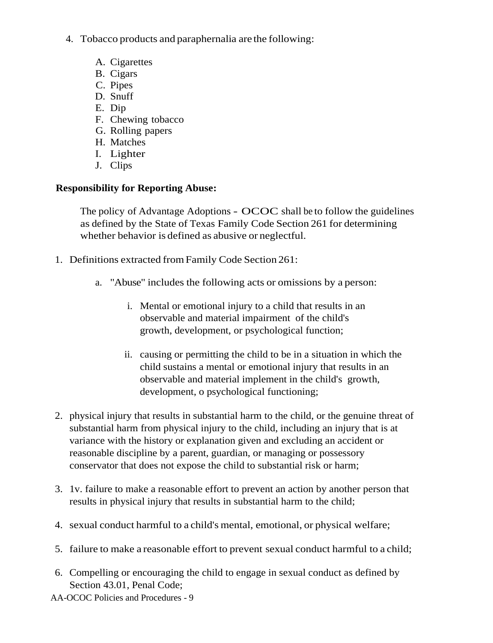- 4. Tobacco products and paraphernalia are the following:
	- A. Cigarettes
	- B. Cigars
	- C. Pipes
	- D. Snuff
	- E. Dip
	- F. Chewing tobacco
	- G. Rolling papers
	- H. Matches
	- I. Lighter
	- J. Clips

# **Responsibility for Reporting Abuse:**

The policy of Advantage Adoptions - OCOC shall be to follow the guidelines as defined by the State of Texas Family Code Section 261 for determining whether behavior is defined as abusive or neglectful.

- 1. Definitions extracted fromFamily Code Section 261:
	- a. "Abuse" includes the following acts or omissions by a person:
		- i. Mental or emotional injury to a child that results in an observable and material impairment of the child's growth, development, or psychological function;
		- ii. causing or permitting the child to be in a situation in which the child sustains a mental or emotional injury that results in an observable and material implement in the child's growth, development, o psychological functioning;
- 2. physical injury that results in substantial harm to the child, or the genuine threat of substantial harm from physical injury to the child, including an injury that is at variance with the history or explanation given and excluding an accident or reasonable discipline by a parent, guardian, or managing or possessory conservator that does not expose the child to substantial risk or harm;
- 3. 1v. failure to make a reasonable effort to prevent an action by another person that results in physical injury that results in substantial harm to the child;
- 4. sexual conduct harmful to a child's mental, emotional, or physical welfare;
- 5. failure to make a reasonable effort to prevent sexual conduct harmful to a child;
- 6. Compelling or encouraging the child to engage in sexual conduct as defined by Section 43.01, Penal Code;
- AA-OCOC Policies and Procedures 9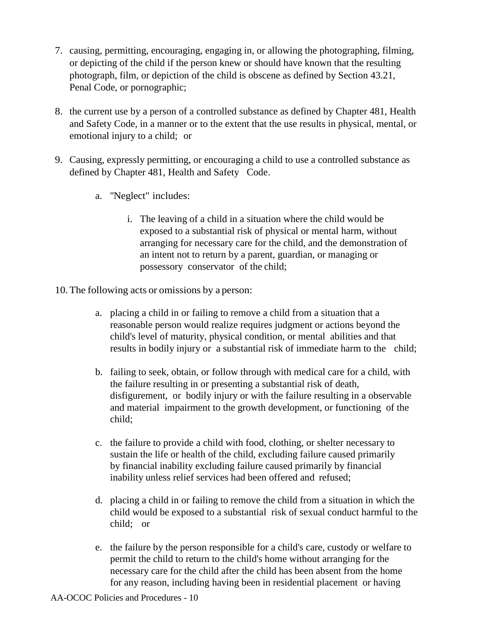- 7. causing, permitting, encouraging, engaging in, or allowing the photographing, filming, or depicting of the child if the person knew or should have known that the resulting photograph, film, or depiction of the child is obscene as defined by Section 43.21, Penal Code, or pornographic;
- 8. the current use by a person of a controlled substance as defined by Chapter 481, Health and Safety Code, in a manner or to the extent that the use results in physical, mental, or emotional injury to a child; or
- 9. Causing, expressly permitting, or encouraging a child to use a controlled substance as defined by Chapter 481, Health and Safety Code.
	- a. ''Neglect" includes:
		- i. The leaving of a child in a situation where the child would be exposed to a substantial risk of physical or mental harm, without arranging for necessary care for the child, and the demonstration of an intent not to return by a parent, guardian, or managing or possessory conservator of the child;
- 10.The following acts or omissions by a person:
	- a. placing a child in or failing to remove a child from a situation that a reasonable person would realize requires judgment or actions beyond the child's level of maturity, physical condition, or mental abilities and that results in bodily injury or a substantial risk of immediate harm to the child;
	- b. failing to seek, obtain, or follow through with medical care for a child, with the failure resulting in or presenting a substantial risk of death, disfigurement, or bodily injury or with the failure resulting in a observable and material impairment to the growth development, or functioning of the child;
	- c. the failure to provide a child with food, clothing, or shelter necessary to sustain the life or health of the child, excluding failure caused primarily by financial inability excluding failure caused primarily by financial inability unless relief services had been offered and refused;
	- d. placing a child in or failing to remove the child from a situation in which the child would be exposed to a substantial risk of sexual conduct harmful to the child; or
	- e. the failure by the person responsible for a child's care, custody or welfare to permit the child to return to the child's home without arranging for the necessary care for the child after the child has been absent from the home for any reason, including having been in residential placement or having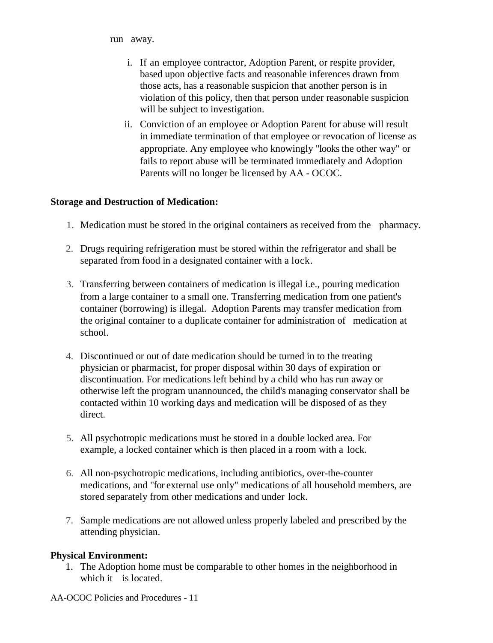run away.

- i. If an employee contractor, Adoption Parent, or respite provider, based upon objective facts and reasonable inferences drawn from those acts, has a reasonable suspicion that another person is in violation of this policy, then that person under reasonable suspicion will be subject to investigation.
- ii. Conviction of an employee or Adoption Parent for abuse will result in immediate termination of that employee or revocation of license as appropriate. Any employee who knowingly "looks the other way" or fails to report abuse will be terminated immediately and Adoption Parents will no longer be licensed by AA - OCOC.

#### **Storage and Destruction of Medication:**

- 1. Medication must be stored in the original containers as received from the pharmacy.
- 2. Drugs requiring refrigeration must be stored within the refrigerator and shall be separated from food in a designated container with a lock.
- 3. Transferring between containers of medication is illegal i.e., pouring medication from a large container to a small one. Transferring medication from one patient's container (borrowing) is illegal. Adoption Parents may transfer medication from the original container to a duplicate container for administration of medication at school.
- 4. Discontinued or out of date medication should be turned in to the treating physician or pharmacist, for proper disposal within 30 days of expiration or discontinuation. For medications left behind by a child who has run away or otherwise left the program unannounced, the child's managing conservator shall be contacted within 10 working days and medication will be disposed of as they direct.
- 5. All psychotropic medications must be stored in a double locked area. For example, a locked container which is then placed in a room with a lock.
- 6. All non-psychotropic medications, including antibiotics, over-the-counter medications, and "for external use only" medications of all household members, are stored separately from other medications and under lock.
- 7. Sample medications are not allowed unless properly labeled and prescribed by the attending physician.

### **Physical Environment:**

1. The Adoption home must be comparable to other homes in the neighborhood in which it is located.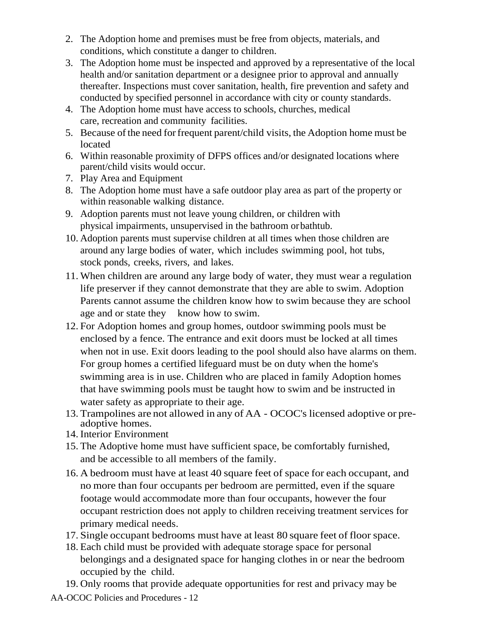- 2. The Adoption home and premises must be free from objects, materials, and conditions, which constitute a danger to children.
- 3. The Adoption home must be inspected and approved by a representative of the local health and/or sanitation department or a designee prior to approval and annually thereafter. Inspections must cover sanitation, health, fire prevention and safety and conducted by specified personnel in accordance with city or county standards.
- 4. The Adoption home must have access to schools, churches, medical care, recreation and community facilities.
- 5. Because ofthe need forfrequent parent/child visits, the Adoption home must be located
- 6. Within reasonable proximity of DFPS offices and/or designated locations where parent/child visits would occur.
- 7. Play Area and Equipment
- 8. The Adoption home must have a safe outdoor play area as part of the property or within reasonable walking distance.
- 9. Adoption parents must not leave young children, or children with physical impairments, unsupervised in the bathroom orbathtub.
- 10. Adoption parents must supervise children at all times when those children are around any large bodies of water, which includes swimming pool, hot tubs, stock ponds, creeks, rivers, and lakes.
- 11. When children are around any large body of water, they must wear a regulation life preserver if they cannot demonstrate that they are able to swim. Adoption Parents cannot assume the children know how to swim because they are school age and or state they know how to swim.
- 12. For Adoption homes and group homes, outdoor swimming pools must be enclosed by a fence. The entrance and exit doors must be locked at all times when not in use. Exit doors leading to the pool should also have alarms on them. For group homes a certified lifeguard must be on duty when the home's swimming area is in use. Children who are placed in family Adoption homes that have swimming pools must be taught how to swim and be instructed in water safety as appropriate to their age.
- 13. Trampolines are not allowed in any of AA OCOC's licensed adoptive or preadoptive homes.
- 14. Interior Environment
- 15. The Adoptive home must have sufficient space, be comfortably furnished, and be accessible to all members of the family.
- 16. A bedroom must have at least 40 square feet of space for each occupant, and no more than four occupants per bedroom are permitted, even if the square footage would accommodate more than four occupants, however the four occupant restriction does not apply to children receiving treatment services for primary medical needs.
- 17. Single occupant bedrooms must have at least 80 square feet of floor space.
- 18. Each child must be provided with adequate storage space for personal belongings and a designated space for hanging clothes in or near the bedroom occupied by the child.
- 19. Only rooms that provide adequate opportunities for rest and privacy may be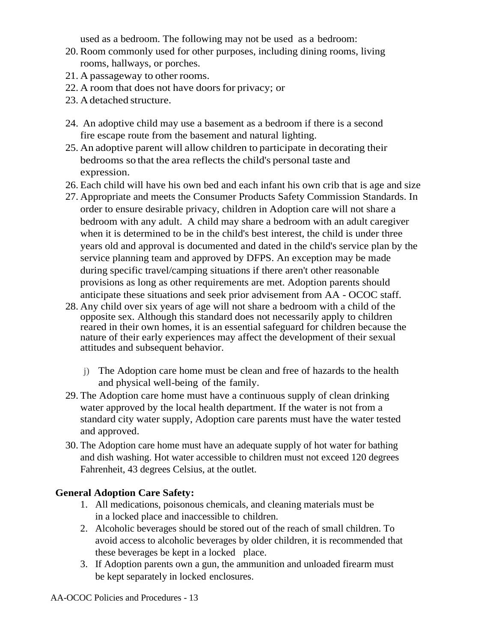used as a bedroom. The following may not be used as a bedroom:

- 20. Room commonly used for other purposes, including dining rooms, living rooms, hallways, or porches.
- 21. A passageway to other rooms.
- 22. A room that does not have doors for privacy; or
- 23. Adetached structure.
- 24. An adoptive child may use a basement as a bedroom if there is a second fire escape route from the basement and natural lighting.
- 25. An adoptive parent will allow children to participate in decorating their bedrooms so that the area reflects the child's personal taste and expression.
- 26. Each child will have his own bed and each infant his own crib that is age and size
- 27. Appropriate and meets the Consumer Products Safety Commission Standards. In order to ensure desirable privacy, children in Adoption care will not share a bedroom with any adult. A child may share a bedroom with an adult caregiver when it is determined to be in the child's best interest, the child is under three years old and approval is documented and dated in the child's service plan by the service planning team and approved by DFPS. An exception may be made during specific travel/camping situations if there aren't other reasonable provisions as long as other requirements are met. Adoption parents should anticipate these situations and seek prior advisement from AA - OCOC staff.
- 28. Any child over six years of age will not share a bedroom with a child of the opposite sex. Although this standard does not necessarily apply to children reared in their own homes, it is an essential safeguard for children because the nature of their early experiences may affect the development of their sexual attitudes and subsequent behavior.
	- j) The Adoption care home must be clean and free of hazards to the health and physical well-being of the family.
- 29. The Adoption care home must have a continuous supply of clean drinking water approved by the local health department. If the water is not from a standard city water supply, Adoption care parents must have the water tested and approved.
- 30. The Adoption care home must have an adequate supply of hot water for bathing and dish washing. Hot water accessible to children must not exceed 120 degrees Fahrenheit, 43 degrees Celsius, at the outlet.

### **General Adoption Care Safety:**

- 1. All medications, poisonous chemicals, and cleaning materials must be in a locked place and inaccessible to children.
- 2. Alcoholic beverages should be stored out of the reach of small children. To avoid access to alcoholic beverages by older children, it is recommended that these beverages be kept in a locked place.
- 3. If Adoption parents own a gun, the ammunition and unloaded firearm must be kept separately in locked enclosures.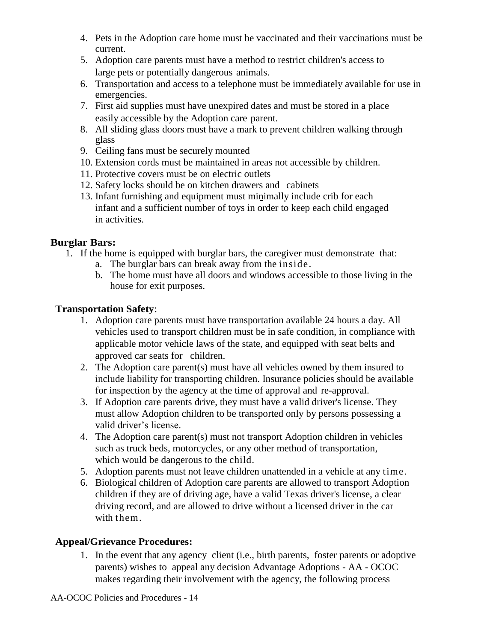- 4. Pets in the Adoption care home must be vaccinated and their vaccinations must be current.
- 5. Adoption care parents must have a method to restrict children's access to large pets or potentially dangerous animals.
- 6. Transportation and access to a telephone must be immediately available for use in emergencies.
- 7. First aid supplies must have unexpired dates and must be stored in a place easily accessible by the Adoption care parent.
- 8. All sliding glass doors must have a mark to prevent children walking through glass
- 9. Ceiling fans must be securely mounted
- 10. Extension cords must be maintained in areas not accessible by children.
- 11. Protective covers must be on electric outlets
- 12. Safety locks should be on kitchen drawers and cabinets
- 13. Infant furnishing and equipment must minimally include crib for each infant and a sufficient number of toys in order to keep each child engaged in activities.

## **Burglar Bars:**

- 1. If the home is equipped with burglar bars, the caregiver must demonstrate that:
	- a. The burglar bars can break away from the inside.
	- b. The home must have all doors and windows accessible to those living in the house for exit purposes.

## **Transportation Safety**:

- 1. Adoption care parents must have transportation available 24 hours a day. All vehicles used to transport children must be in safe condition, in compliance with applicable motor vehicle laws of the state, and equipped with seat belts and approved car seats for children.
- 2. The Adoption care parent(s) must have all vehicles owned by them insured to include liability for transporting children. Insurance policies should be available for inspection by the agency at the time of approval and re-approval.
- 3. If Adoption care parents drive, they must have a valid driver's license. They must allow Adoption children to be transported only by persons possessing a valid driver's license.
- 4. The Adoption care parent(s) must not transport Adoption children in vehicles such as truck beds, motorcycles, or any other method of transportation, which would be dangerous to the child.
- 5. Adoption parents must not leave children unattended in a vehicle at any time.
- 6. Biological children of Adoption care parents are allowed to transport Adoption children if they are of driving age, have a valid Texas driver's license, a clear driving record, and are allowed to drive without a licensed driver in the car with them.

# **Appeal/Grievance Procedures:**

1. In the event that any agency client (i.e., birth parents, foster parents or adoptive parents) wishes to appeal any decision Advantage Adoptions - AA - OCOC makes regarding their involvement with the agency, the following process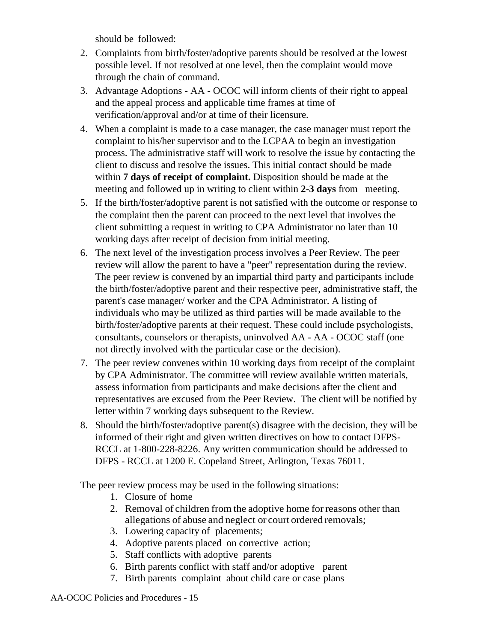should be followed:

- 2. Complaints from birth/foster/adoptive parents should be resolved at the lowest possible level. If not resolved at one level, then the complaint would move through the chain of command.
- 3. Advantage Adoptions AA OCOC will inform clients of their right to appeal and the appeal process and applicable time frames at time of verification/approval and/or at time of their licensure.
- 4. When a complaint is made to a case manager, the case manager must report the complaint to his/her supervisor and to the LCPAA to begin an investigation process. The administrative staff will work to resolve the issue by contacting the client to discuss and resolve the issues. This initial contact should be made within **7 days of receipt of complaint.** Disposition should be made at the meeting and followed up in writing to client within **2-3 days** from meeting.
- 5. If the birth/foster/adoptive parent is not satisfied with the outcome or response to the complaint then the parent can proceed to the next level that involves the client submitting a request in writing to CPA Administrator no later than 10 working days after receipt of decision from initial meeting.
- 6. The next level of the investigation process involves a Peer Review. The peer review will allow the parent to have a "peer" representation during the review. The peer review is convened by an impartial third party and participants include the birth/foster/adoptive parent and their respective peer, administrative staff, the parent's case manager/ worker and the CPA Administrator. A listing of individuals who may be utilized as third parties will be made available to the birth/foster/adoptive parents at their request. These could include psychologists, consultants, counselors or therapists, uninvolved AA - AA - OCOC staff (one not directly involved with the particular case or the decision).
- 7. The peer review convenes within 10 working days from receipt of the complaint by CPA Administrator. The committee will review available written materials, assess information from participants and make decisions after the client and representatives are excused from the Peer Review. The client will be notified by letter within 7 working days subsequent to the Review.
- 8. Should the birth/foster/adoptive parent(s) disagree with the decision, they will be informed of their right and given written directives on how to contact DFPS-RCCL at 1-800-228-8226. Any written communication should be addressed to DFPS - RCCL at 1200 E. Copeland Street, Arlington, Texas 76011.

The peer review process may be used in the following situations:

- 1. Closure of home
- 2. Removal of children from the adoptive home for reasons other than allegations of abuse and neglect or court ordered removals;
- 3. Lowering capacity of placements;
- 4. Adoptive parents placed on corrective action;
- 5. Staff conflicts with adoptive parents
- 6. Birth parents conflict with staff and/or adoptive parent
- 7. Birth parents complaint about child care or case plans